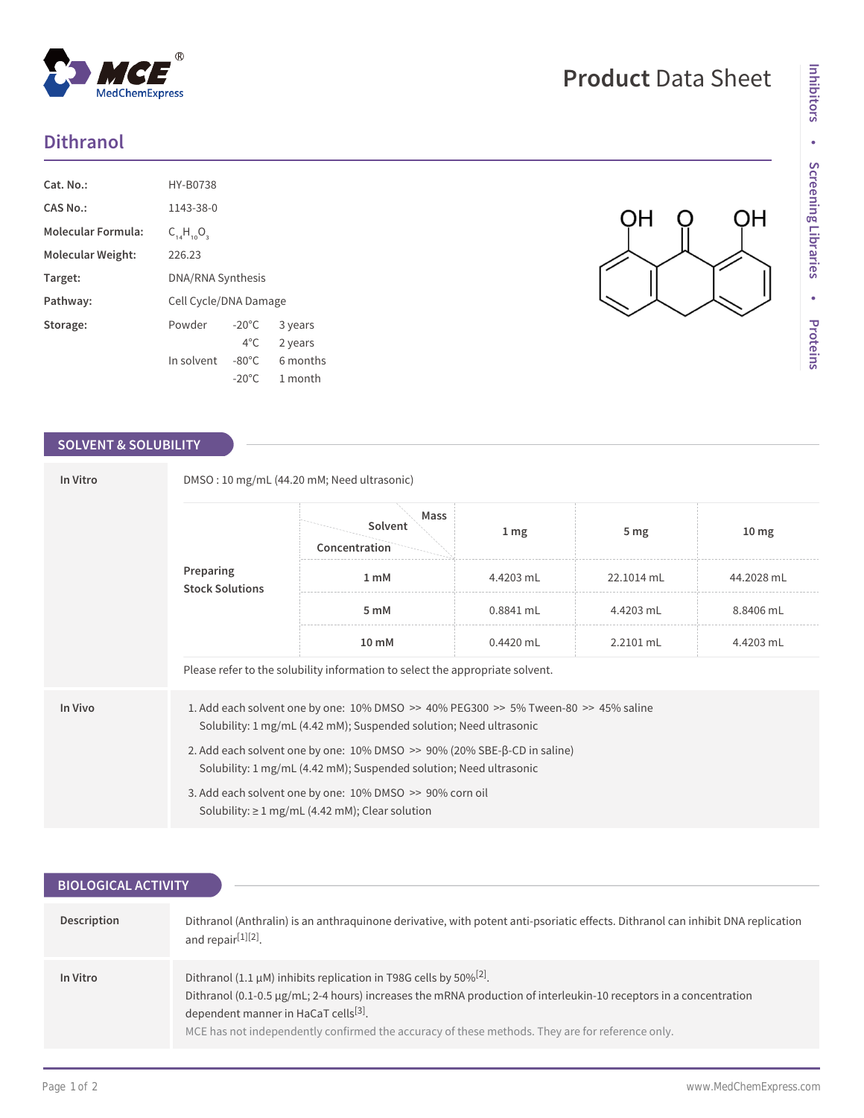## **Dithranol**

| Cat. No.:          | HY-B0738                 |                 |          |
|--------------------|--------------------------|-----------------|----------|
| CAS No.:           | 1143-38-0                |                 |          |
| Molecular Formula: | $C_{14}H_{10}O_3$        |                 |          |
| Molecular Weight:  | 226.23                   |                 |          |
| Target:            | <b>DNA/RNA Synthesis</b> |                 |          |
| Pathway:           | Cell Cycle/DNA Damage    |                 |          |
| Storage:           | Powder                   | $-20^{\circ}$ C | 3 years  |
|                    |                          | $4^{\circ}$ C.  | 2 years  |
|                    | In solvent               | -80°C           | 6 months |
|                    |                          | $-20^{\circ}$ C | 1 month  |

 $^{\circledR}$ 

MedChemExpress

## **SOLVENT & SOLUBILITY**

| In Vitro |                                     | DMSO: 10 mg/mL (44.20 mM; Need ultrasonic)                                                                                                                               |                 |                 |                  |  |
|----------|-------------------------------------|--------------------------------------------------------------------------------------------------------------------------------------------------------------------------|-----------------|-----------------|------------------|--|
|          |                                     | Mass<br>Solvent<br>Concentration                                                                                                                                         | 1 <sub>mg</sub> | 5 <sub>mg</sub> | 10 <sub>mg</sub> |  |
|          | Preparing<br><b>Stock Solutions</b> | 1 <sub>m</sub> M                                                                                                                                                         | 4.4203 mL       | 22.1014 mL      | 44.2028 mL       |  |
|          |                                     | 5 mM                                                                                                                                                                     | 0.8841 mL       | 4.4203 mL       | 8.8406 mL        |  |
|          |                                     | 10 mM                                                                                                                                                                    | $0.4420$ mL     | 2.2101 mL       | 4.4203 mL        |  |
|          |                                     | Please refer to the solubility information to select the appropriate solvent.                                                                                            |                 |                 |                  |  |
| In Vivo  |                                     | 1. Add each solvent one by one: $10\%$ DMSO $\geq$ 40% PEG300 $\geq$ 5% Tween-80 $\geq$ 45% saline<br>Solubility: 1 mg/mL (4.42 mM); Suspended solution; Need ultrasonic |                 |                 |                  |  |
|          |                                     | 2. Add each solvent one by one: $10\%$ DMSO $\geq$ 90% (20% SBE- $\beta$ -CD in saline)<br>Solubility: 1 mg/mL (4.42 mM); Suspended solution; Need ultrasonic            |                 |                 |                  |  |
|          |                                     | 3. Add each solvent one by one: 10% DMSO >> 90% corn oil<br>Solubility: $\geq 1$ mg/mL (4.42 mM); Clear solution                                                         |                 |                 |                  |  |

| <b>BIOLOGICAL ACTIVITY</b> |                                                                                                                                                                                                                                                                                                                                                                     |
|----------------------------|---------------------------------------------------------------------------------------------------------------------------------------------------------------------------------------------------------------------------------------------------------------------------------------------------------------------------------------------------------------------|
|                            |                                                                                                                                                                                                                                                                                                                                                                     |
| Description                | Dithranol (Anthralin) is an anthraguinone derivative, with potent anti-psoriatic effects. Dithranol can inhibit DNA replication<br>and repair <sup>[1][2]</sup> .                                                                                                                                                                                                   |
| In Vitro                   | Dithranol (1.1 $\mu$ M) inhibits replication in T98G cells by 50% <sup>[2]</sup> .<br>Dithranol (0.1-0.5 $\mu$ g/mL; 2-4 hours) increases the mRNA production of interleukin-10 receptors in a concentration<br>dependent manner in HaCaT cells <sup>[3]</sup> .<br>MCE has not independently confirmed the accuracy of these methods. They are for reference only. |

ဂူ

QH

**QH**